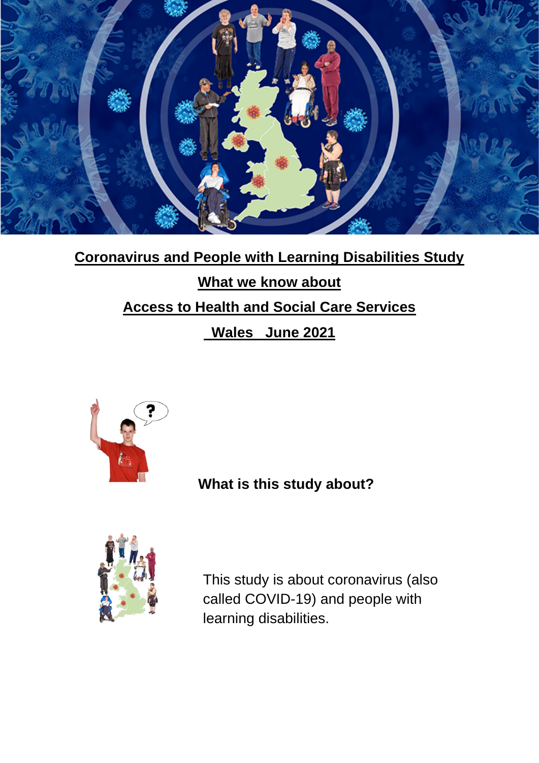

# **Coronavirus and People with Learning Disabilities Study What we know about Access to Health and Social Care Services Wales June 2021**



**What is this study about?**



This study is about coronavirus (also called COVID-19) and people with learning disabilities.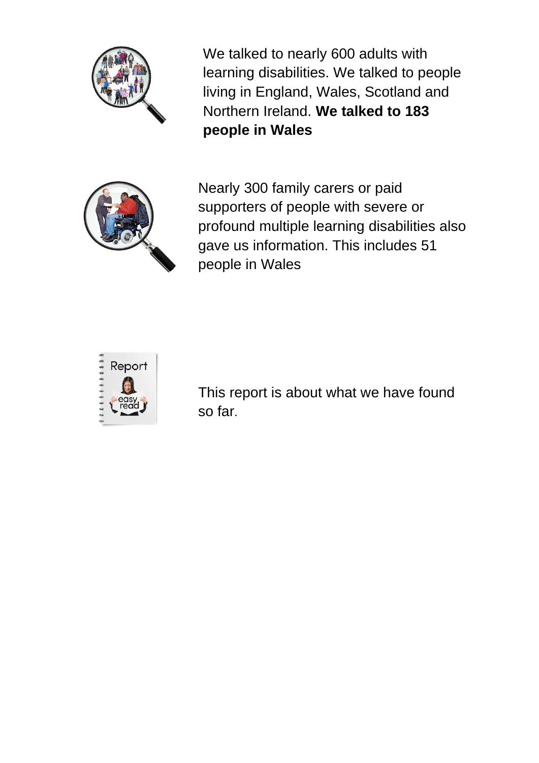

We talked to nearly 600 adults with learning disabilities. We talked to people living in England, Wales, Scotland and Northern Ireland. **We talked to 183 people in Wales**



Nearly 300 family carers or paid supporters of people with severe or profound multiple learning disabilities also gave us information. This includes 51 people in Wales



This report is about what we have found so far.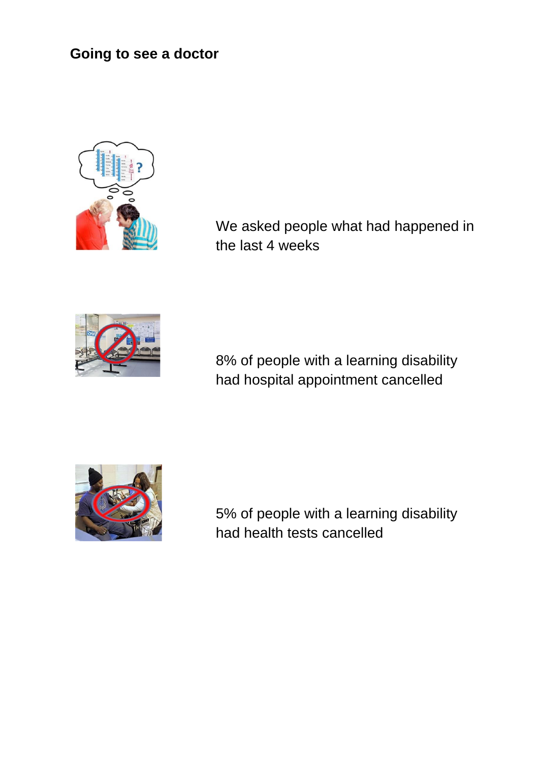# **Going to see a doctor**



We asked people what had happened in the last 4 weeks



8% of people with a learning disability had hospital appointment cancelled



5% of people with a learning disability had health tests cancelled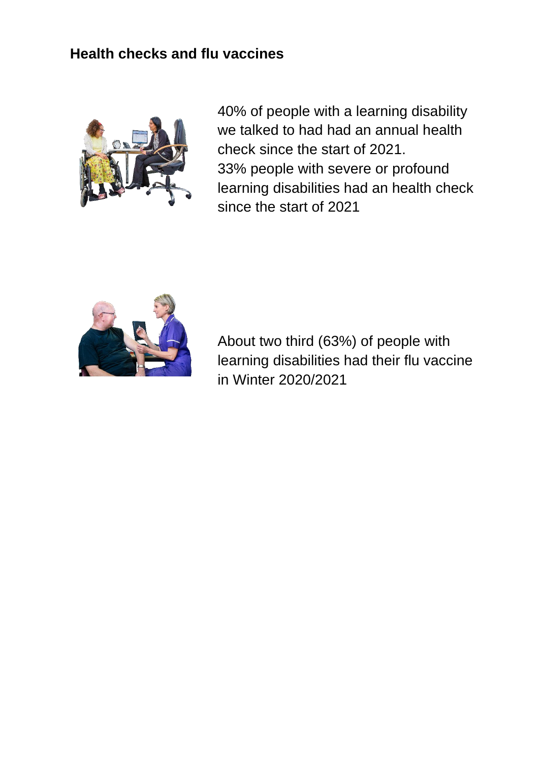## **Health checks and flu vaccines**



40% of people with a learning disability we talked to had had an annual health check since the start of 2021. 33% people with severe or profound learning disabilities had an health check since the start of 2021



About two third (63%) of people with learning disabilities had their flu vaccine in Winter 2020/2021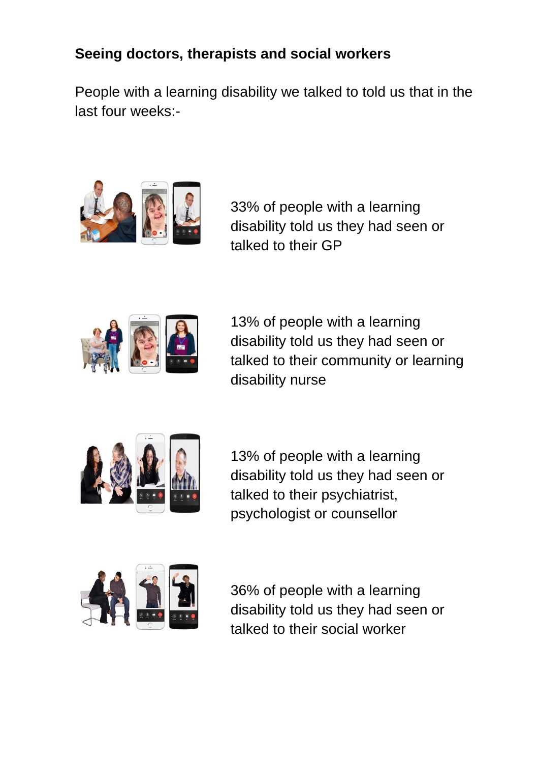# **Seeing doctors, therapists and social workers**

People with a learning disability we talked to told us that in the last four weeks:-



33% of people with a learning disability told us they had seen or talked to their GP



13% of people with a learning disability told us they had seen or talked to their community or learning disability nurse



13% of people with a learning disability told us they had seen or talked to their psychiatrist, psychologist or counsellor



36% of people with a learning disability told us they had seen or talked to their social worker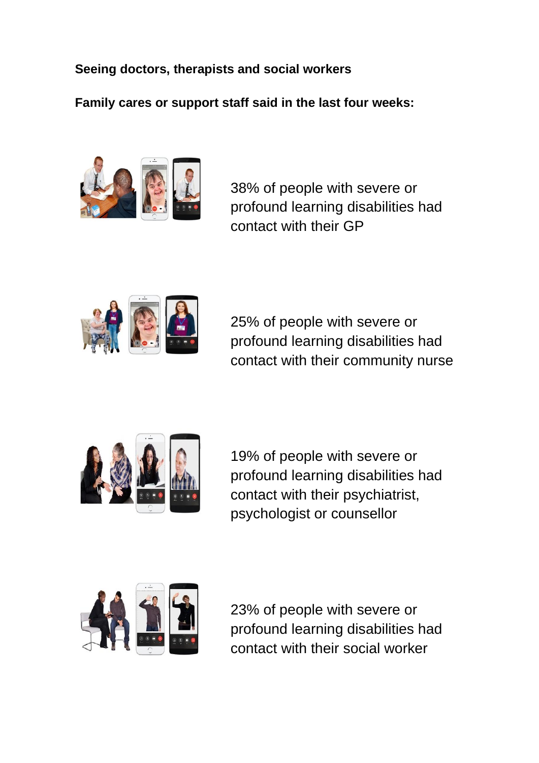**Seeing doctors, therapists and social workers**

**Family cares or support staff said in the last four weeks:** 



38% of people with severe or profound learning disabilities had contact with their GP



25% of people with severe or profound learning disabilities had contact with their community nurse



19% of people with severe or profound learning disabilities had contact with their psychiatrist, psychologist or counsellor



23% of people with severe or profound learning disabilities had contact with their social worker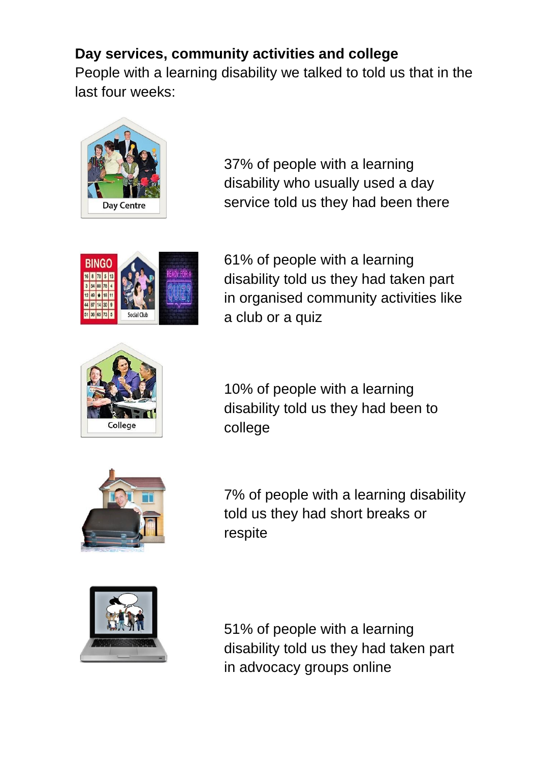# **Day services, community activities and college**

People with a learning disability we talked to told us that in the last four weeks:



37% of people with a learning disability who usually used a day service told us they had been there



61% of people with a learning disability told us they had taken part in organised community activities like a club or a quiz



10% of people with a learning disability told us they had been to college



7% of people with a learning disability told us they had short breaks or respite



51% of people with a learning disability told us they had taken part in advocacy groups online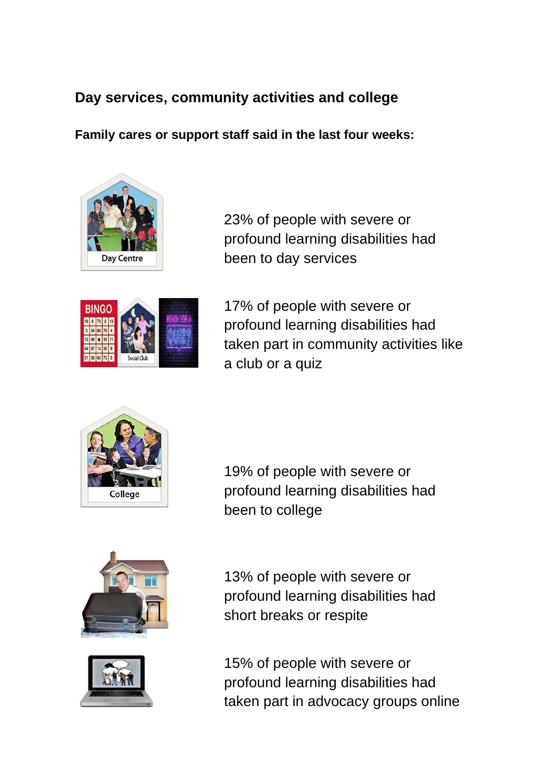# **Day services, community activities and college**

**Family cares or support staff said in the last four weeks:** 



23% of people with severe or profound learning disabilities had been to day services



17% of people with severe or profound learning disabilities had taken part in community activities like a club or a quiz



19% of people with severe or profound learning disabilities had been to college





13% of people with severe or profound learning disabilities had short breaks or respite

15% of people with severe or profound learning disabilities had taken part in advocacy groups online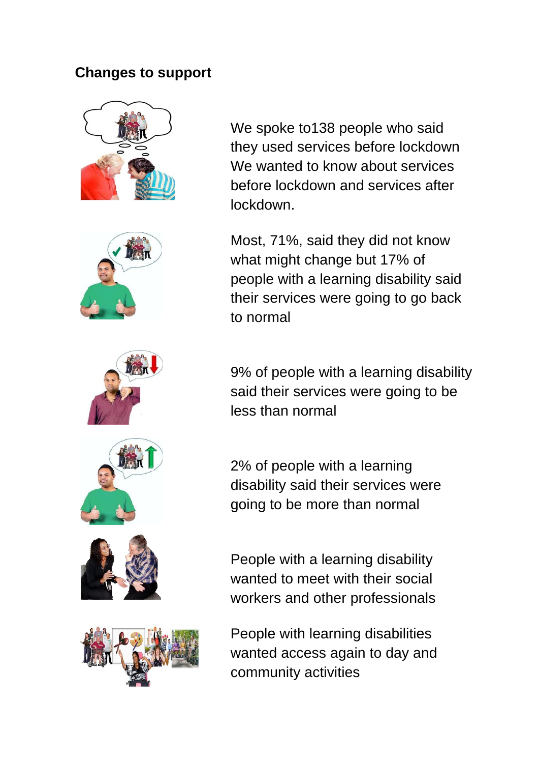#### **Changes to support**













We spoke to138 people who said they used services before lockdown We wanted to know about services before lockdown and services after lockdown.

Most, 71%, said they did not know what might change but 17% of people with a learning disability said their services were going to go back to normal

9% of people with a learning disability said their services were going to be less than normal

2% of people with a learning disability said their services were going to be more than normal

People with a learning disability wanted to meet with their social workers and other professionals

People with learning disabilities wanted access again to day and community activities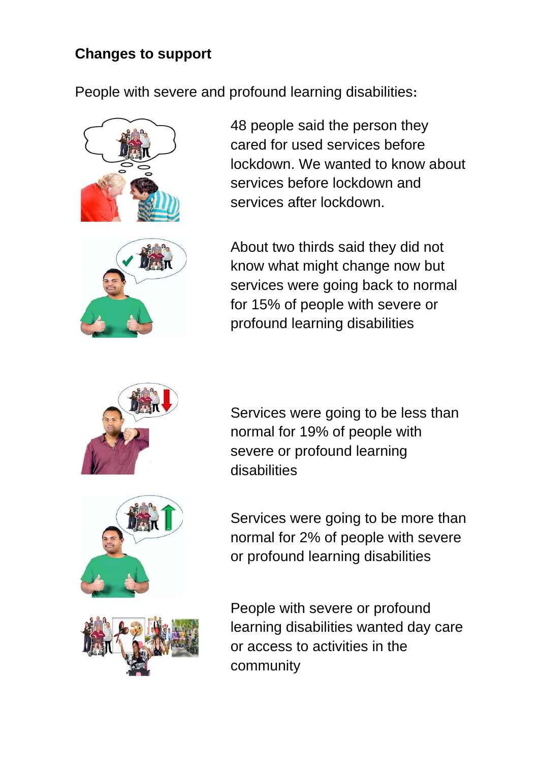# **Changes to support**

People with severe and profound learning disabilities**:**



48 people said the person they cared for used services before lockdown. We wanted to know about services before lockdown and services after lockdown.



About two thirds said they did not know what might change now but services were going back to normal for 15% of people with severe or profound learning disabilities



Services were going to be less than normal for 19% of people with severe or profound learning disabilities





Services were going to be more than normal for 2% of people with severe or profound learning disabilities

People with severe or profound learning disabilities wanted day care or access to activities in the community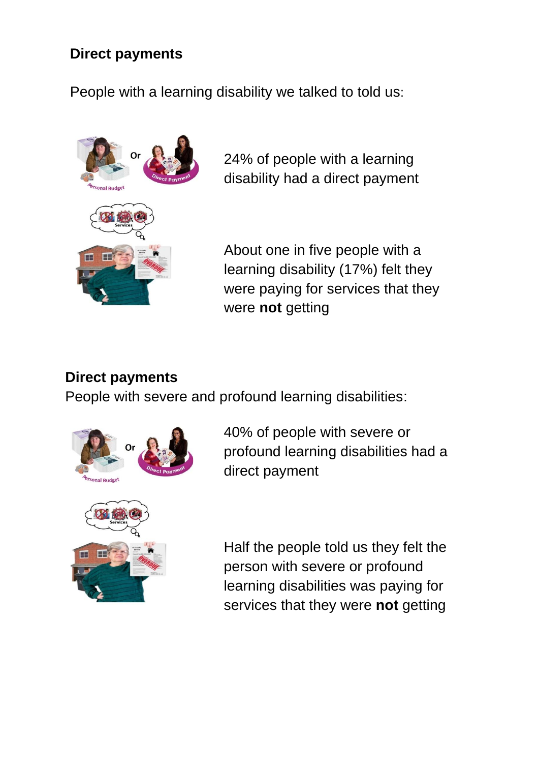## **Direct payments**

People with a learning disability we talked to told us:



24% of people with a learning disability had a direct payment

About one in five people with a learning disability (17%) felt they were paying for services that they were **not** getting

#### **Direct payments**

People with severe and profound learning disabilities:



40% of people with severe or profound learning disabilities had a direct payment

Half the people told us they felt the person with severe or profound learning disabilities was paying for services that they were **not** getting